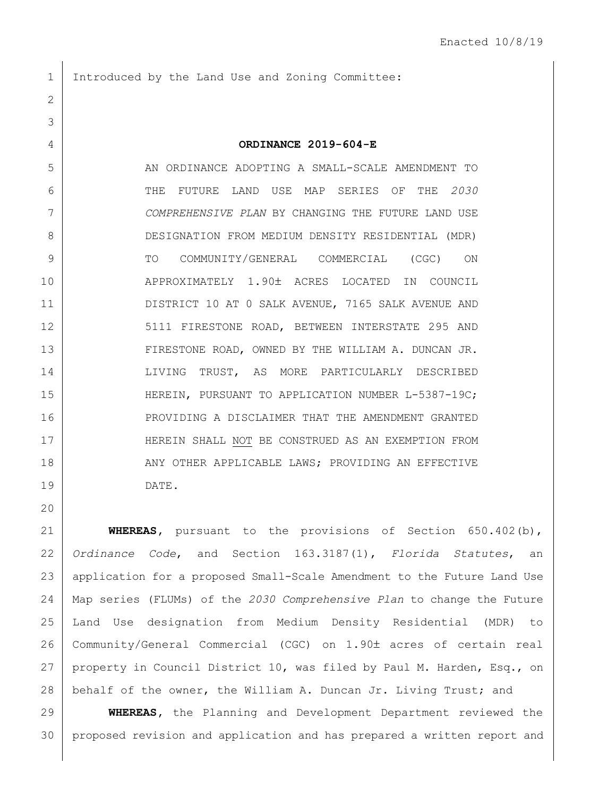Introduced by the Land Use and Zoning Committee:

## **ORDINANCE 2019-604-E**

 AN ORDINANCE ADOPTING A SMALL-SCALE AMENDMENT TO THE FUTURE LAND USE MAP SERIES OF THE *2030 COMPREHENSIVE PLAN* BY CHANGING THE FUTURE LAND USE DESIGNATION FROM MEDIUM DENSITY RESIDENTIAL (MDR) TO COMMUNITY/GENERAL COMMERCIAL (CGC) ON 10 APPROXIMATELY 1.90± ACRES LOCATED IN COUNCIL DISTRICT 10 AT 0 SALK AVENUE, 7165 SALK AVENUE AND 12 5111 FIRESTONE ROAD, BETWEEN INTERSTATE 295 AND 13 | FIRESTONE ROAD, OWNED BY THE WILLIAM A. DUNCAN JR. 14 LIVING TRUST, AS MORE PARTICULARLY DESCRIBED 15 | HEREIN, PURSUANT TO APPLICATION NUMBER L-5387-19C; 16 PROVIDING A DISCLAIMER THAT THE AMENDMENT GRANTED HEREIN SHALL NOT BE CONSTRUED AS AN EXEMPTION FROM 18 ANY OTHER APPLICABLE LAWS; PROVIDING AN EFFECTIVE DATE.

 **WHEREAS,** pursuant to the provisions of Section 650.402(b), *Ordinance Code*, and Section 163.3187(1), *Florida Statutes*, an application for a proposed Small-Scale Amendment to the Future Land Use Map series (FLUMs) of the *2030 Comprehensive Plan* to change the Future Land Use designation from Medium Density Residential (MDR) to 26 | Community/General Commercial (CGC) on 1.90± acres of certain real property in Council District 10, was filed by Paul M. Harden, Esq., on 28 | behalf of the owner, the William A. Duncan Jr. Living Trust; and

 **WHEREAS,** the Planning and Development Department reviewed the proposed revision and application and has prepared a written report and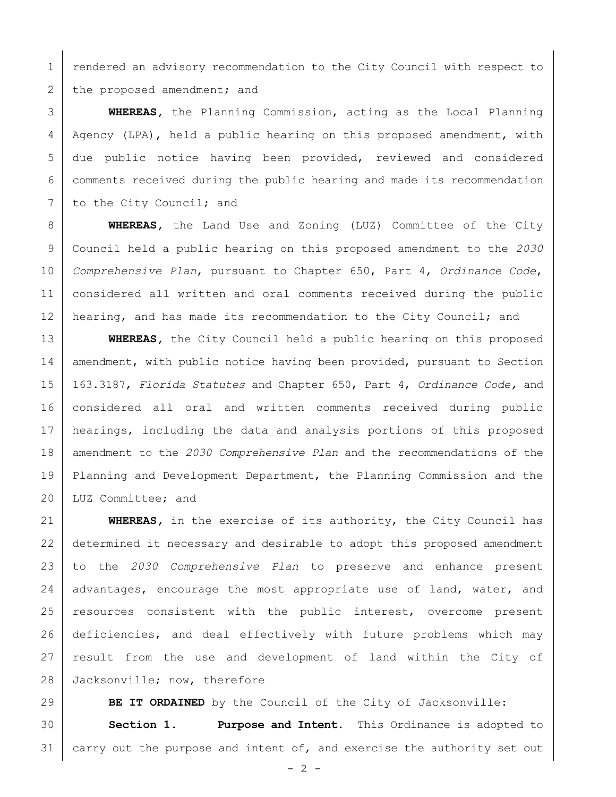1 | rendered an advisory recommendation to the City Council with respect to 2 the proposed amendment; and

 **WHEREAS,** the Planning Commission, acting as the Local Planning Agency (LPA), held a public hearing on this proposed amendment, with due public notice having been provided, reviewed and considered comments received during the public hearing and made its recommendation 7 to the City Council; and

 **WHEREAS,** the Land Use and Zoning (LUZ) Committee of the City Council held a public hearing on this proposed amendment to the *2030 Comprehensive Plan*, pursuant to Chapter 650, Part 4, *Ordinance Code*, considered all written and oral comments received during the public 12 hearing, and has made its recommendation to the City Council; and

 **WHEREAS,** the City Council held a public hearing on this proposed 14 amendment, with public notice having been provided, pursuant to Section 163.3187, *Florida Statutes* and Chapter 650, Part 4, *Ordinance Code,* and considered all oral and written comments received during public hearings, including the data and analysis portions of this proposed amendment to the *2030 Comprehensive Plan* and the recommendations of the Planning and Development Department, the Planning Commission and the LUZ Committee; and

 **WHEREAS,** in the exercise of its authority, the City Council has determined it necessary and desirable to adopt this proposed amendment to the *2030 Comprehensive Plan* to preserve and enhance present 24 advantages, encourage the most appropriate use of land, water, and resources consistent with the public interest, overcome present deficiencies, and deal effectively with future problems which may result from the use and development of land within the City of 28 Jacksonville; now, therefore

**BE IT ORDAINED** by the Council of the City of Jacksonville:

 **Section 1. Purpose and Intent.** This Ordinance is adopted to 31 carry out the purpose and intent of, and exercise the authority set out

 $-2 -$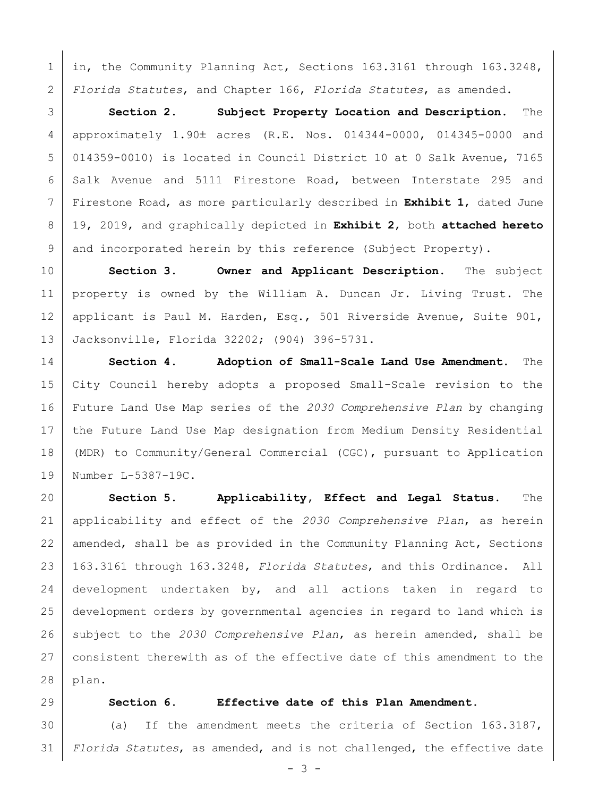1 in, the Community Planning Act, Sections 163.3161 through 163.3248, *Florida Statutes*, and Chapter 166, *Florida Statutes*, as amended.

 **Section 2. Subject Property Location and Description.** The 4 approximately 1.90± acres (R.E. Nos. 014344-0000, 014345-0000 and 014359-0010) is located in Council District 10 at 0 Salk Avenue, 7165 6 Salk Avenue and 5111 Firestone Road, between Interstate 295 and Firestone Road, as more particularly described in **Exhibit 1**, dated June 19, 2019, and graphically depicted in **Exhibit 2**, both **attached hereto** 9 and incorporated herein by this reference (Subject Property).

 **Section 3. Owner and Applicant Description.** The subject property is owned by the William A. Duncan Jr. Living Trust. The applicant is Paul M. Harden, Esq., 501 Riverside Avenue, Suite 901, Jacksonville, Florida 32202; (904) 396-5731.

 **Section 4. Adoption of Small-Scale Land Use Amendment.** The City Council hereby adopts a proposed Small-Scale revision to the Future Land Use Map series of the *2030 Comprehensive Plan* by changing the Future Land Use Map designation from Medium Density Residential (MDR) to Community/General Commercial (CGC), pursuant to Application Number L-5387-19C.

 **Section 5. Applicability, Effect and Legal Status.** The applicability and effect of the *2030 Comprehensive Plan*, as herein 22 amended, shall be as provided in the Community Planning Act, Sections 163.3161 through 163.3248, *Florida Statutes*, and this Ordinance. All development undertaken by, and all actions taken in regard to development orders by governmental agencies in regard to land which is subject to the *2030 Comprehensive Plan*, as herein amended, shall be consistent therewith as of the effective date of this amendment to the plan.

## **Section 6. Effective date of this Plan Amendment.**

 (a) If the amendment meets the criteria of Section 163.3187, *Florida Statutes*, as amended, and is not challenged, the effective date